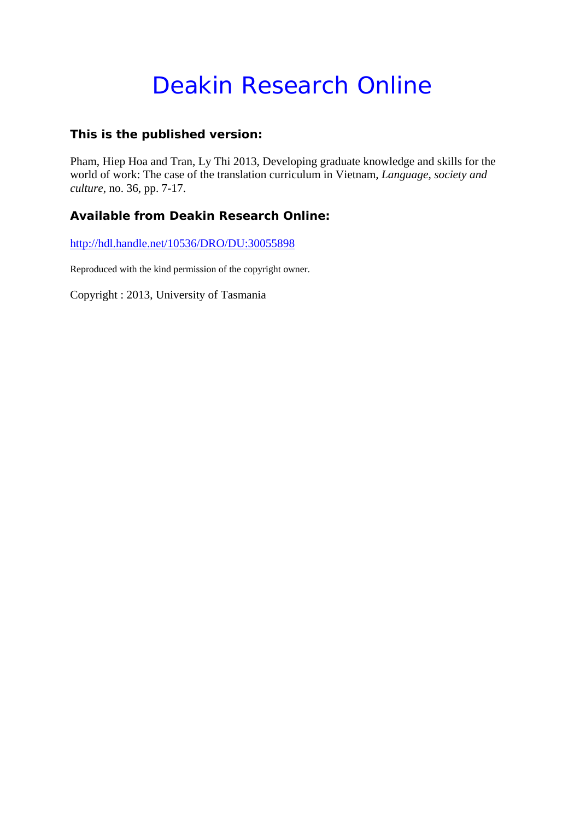# Deakin Research Online

## **This is the published version:**

Pham, Hiep Hoa and Tran, Ly Thi 2013, Developing graduate knowledge and skills for the world of work: The case of the translation curriculum in Vietnam*, Language, society and culture*, no. 36, pp. 7-17.

## **Available from Deakin Research Online:**

http://hdl.handle.net/10536/DRO/DU:30055898

Reproduced with the kind permission of the copyright owner.

Copyright : 2013, University of Tasmania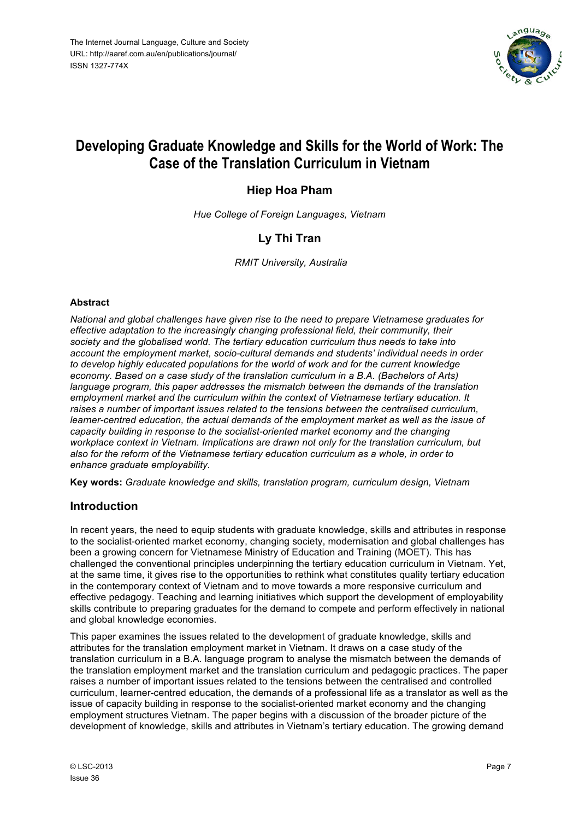

## **Developing Graduate Knowledge and Skills for the World of Work: The Case of the Translation Curriculum in Vietnam**

## **Hiep Hoa Pham**

*Hue College of Foreign Languages, Vietnam*

## **Ly Thi Tran**

*RMIT University, Australia*

#### **Abstract**

*National and global challenges have given rise to the need to prepare Vietnamese graduates for effective adaptation to the increasingly changing professional field, their community, their society and the globalised world. The tertiary education curriculum thus needs to take into account the employment market, socio-cultural demands and students' individual needs in order to develop highly educated populations for the world of work and for the current knowledge economy. Based on a case study of the translation curriculum in a B.A. (Bachelors of Arts) language program, this paper addresses the mismatch between the demands of the translation employment market and the curriculum within the context of Vietnamese tertiary education. It raises a number of important issues related to the tensions between the centralised curriculum, learner-centred education, the actual demands of the employment market as well as the issue of capacity building in response to the socialist-oriented market economy and the changing workplace context in Vietnam. Implications are drawn not only for the translation curriculum, but also for the reform of the Vietnamese tertiary education curriculum as a whole, in order to enhance graduate employability.*

**Key words:** *Graduate knowledge and skills, translation program, curriculum design, Vietnam*

## **Introduction**

In recent years, the need to equip students with graduate knowledge, skills and attributes in response to the socialist-oriented market economy, changing society, modernisation and global challenges has been a growing concern for Vietnamese Ministry of Education and Training (MOET). This has challenged the conventional principles underpinning the tertiary education curriculum in Vietnam. Yet, at the same time, it gives rise to the opportunities to rethink what constitutes quality tertiary education in the contemporary context of Vietnam and to move towards a more responsive curriculum and effective pedagogy. Teaching and learning initiatives which support the development of employability skills contribute to preparing graduates for the demand to compete and perform effectively in national and global knowledge economies.

This paper examines the issues related to the development of graduate knowledge, skills and attributes for the translation employment market in Vietnam. It draws on a case study of the translation curriculum in a B.A. language program to analyse the mismatch between the demands of the translation employment market and the translation curriculum and pedagogic practices. The paper raises a number of important issues related to the tensions between the centralised and controlled curriculum, learner-centred education, the demands of a professional life as a translator as well as the issue of capacity building in response to the socialist-oriented market economy and the changing employment structures Vietnam. The paper begins with a discussion of the broader picture of the development of knowledge, skills and attributes in Vietnam's tertiary education. The growing demand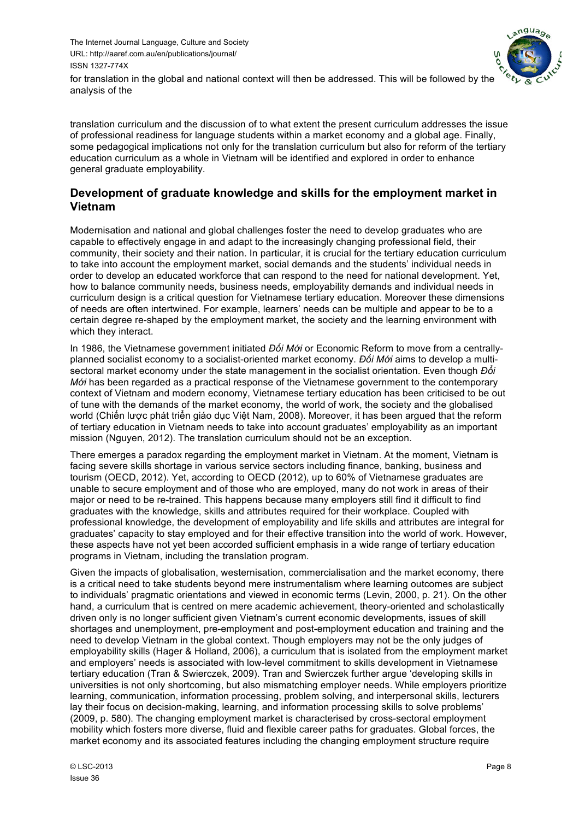

for translation in the global and national context will then be addressed. This will be followed by the analysis of the

translation curriculum and the discussion of to what extent the present curriculum addresses the issue of professional readiness for language students within a market economy and a global age. Finally, some pedagogical implications not only for the translation curriculum but also for reform of the tertiary education curriculum as a whole in Vietnam will be identified and explored in order to enhance general graduate employability.

## **Development of graduate knowledge and skills for the employment market in Vietnam**

Modernisation and national and global challenges foster the need to develop graduates who are capable to effectively engage in and adapt to the increasingly changing professional field, their community, their society and their nation. In particular, it is crucial for the tertiary education curriculum to take into account the employment market, social demands and the students' individual needs in order to develop an educated workforce that can respond to the need for national development. Yet, how to balance community needs, business needs, employability demands and individual needs in curriculum design is a critical question for Vietnamese tertiary education. Moreover these dimensions of needs are often intertwined. For example, learners' needs can be multiple and appear to be to a certain degree re-shaped by the employment market, the society and the learning environment with which they interact.

In 1986, the Vietnamese government initiated *Đổi Mới* or Economic Reform to move from a centrallyplanned socialist economy to a socialist-oriented market economy. *Đổi Mới* aims to develop a multisectoral market economy under the state management in the socialist orientation. Even though *Đổi Mới* has been regarded as a practical response of the Vietnamese government to the contemporary context of Vietnam and modern economy, Vietnamese tertiary education has been criticised to be out of tune with the demands of the market economy, the world of work, the society and the globalised world (Chiến lược phát triển giáo dục Việt Nam, 2008). Moreover, it has been argued that the reform of tertiary education in Vietnam needs to take into account graduates' employability as an important mission (Nguyen, 2012). The translation curriculum should not be an exception.

There emerges a paradox regarding the employment market in Vietnam. At the moment, Vietnam is facing severe skills shortage in various service sectors including finance, banking, business and tourism (OECD, 2012). Yet, according to OECD (2012), up to 60% of Vietnamese graduates are unable to secure employment and of those who are employed, many do not work in areas of their major or need to be re-trained. This happens because many employers still find it difficult to find graduates with the knowledge, skills and attributes required for their workplace. Coupled with professional knowledge, the development of employability and life skills and attributes are integral for graduates' capacity to stay employed and for their effective transition into the world of work. However, these aspects have not yet been accorded sufficient emphasis in a wide range of tertiary education programs in Vietnam, including the translation program.

Given the impacts of globalisation, westernisation, commercialisation and the market economy, there is a critical need to take students beyond mere instrumentalism where learning outcomes are subject to individuals' pragmatic orientations and viewed in economic terms (Levin, 2000, p. 21). On the other hand, a curriculum that is centred on mere academic achievement, theory-oriented and scholastically driven only is no longer sufficient given Vietnam's current economic developments, issues of skill shortages and unemployment, pre-employment and post-employment education and training and the need to develop Vietnam in the global context. Though employers may not be the only judges of employability skills (Hager & Holland, 2006), a curriculum that is isolated from the employment market and employers' needs is associated with low-level commitment to skills development in Vietnamese tertiary education (Tran & Swierczek, 2009). Tran and Swierczek further argue 'developing skills in universities is not only shortcoming, but also mismatching employer needs. While employers prioritize learning, communication, information processing, problem solving, and interpersonal skills, lecturers lay their focus on decision-making, learning, and information processing skills to solve problems' (2009, p. 580). The changing employment market is characterised by cross-sectoral employment mobility which fosters more diverse, fluid and flexible career paths for graduates. Global forces, the market economy and its associated features including the changing employment structure require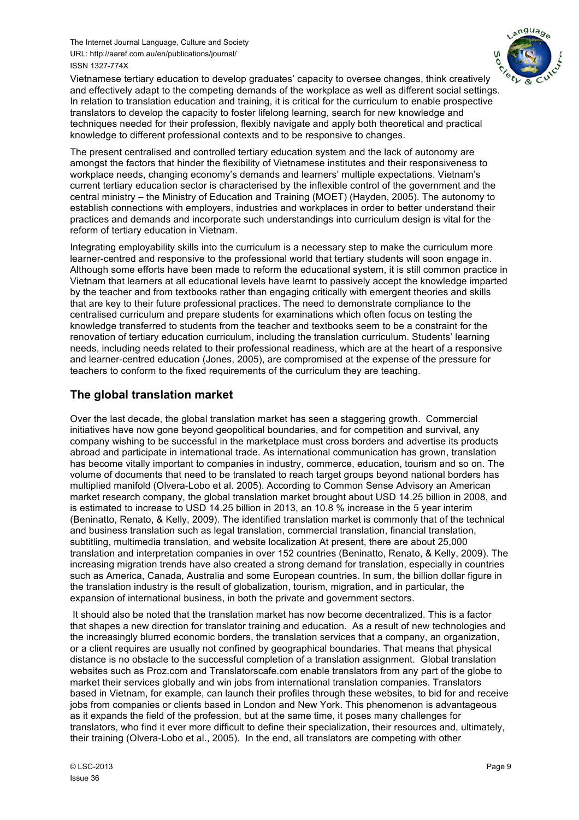

Vietnamese tertiary education to develop graduates' capacity to oversee changes, think creatively and effectively adapt to the competing demands of the workplace as well as different social settings. In relation to translation education and training, it is critical for the curriculum to enable prospective translators to develop the capacity to foster lifelong learning, search for new knowledge and techniques needed for their profession, flexibly navigate and apply both theoretical and practical knowledge to different professional contexts and to be responsive to changes.

The present centralised and controlled tertiary education system and the lack of autonomy are amongst the factors that hinder the flexibility of Vietnamese institutes and their responsiveness to workplace needs, changing economy's demands and learners' multiple expectations. Vietnam's current tertiary education sector is characterised by the inflexible control of the government and the central ministry – the Ministry of Education and Training (MOET) (Hayden, 2005). The autonomy to establish connections with employers, industries and workplaces in order to better understand their practices and demands and incorporate such understandings into curriculum design is vital for the reform of tertiary education in Vietnam.

Integrating employability skills into the curriculum is a necessary step to make the curriculum more learner-centred and responsive to the professional world that tertiary students will soon engage in. Although some efforts have been made to reform the educational system, it is still common practice in Vietnam that learners at all educational levels have learnt to passively accept the knowledge imparted by the teacher and from textbooks rather than engaging critically with emergent theories and skills that are key to their future professional practices. The need to demonstrate compliance to the centralised curriculum and prepare students for examinations which often focus on testing the knowledge transferred to students from the teacher and textbooks seem to be a constraint for the renovation of tertiary education curriculum, including the translation curriculum. Students' learning needs, including needs related to their professional readiness, which are at the heart of a responsive and learner-centred education (Jones, 2005), are compromised at the expense of the pressure for teachers to conform to the fixed requirements of the curriculum they are teaching.

## **The global translation market**

Over the last decade, the global translation market has seen a staggering growth. Commercial initiatives have now gone beyond geopolitical boundaries, and for competition and survival, any company wishing to be successful in the marketplace must cross borders and advertise its products abroad and participate in international trade. As international communication has grown, translation has become vitally important to companies in industry, commerce, education, tourism and so on. The volume of documents that need to be translated to reach target groups beyond national borders has multiplied manifold (Olvera-Lobo et al. 2005). According to Common Sense Advisory an American market research company, the global translation market brought about USD 14.25 billion in 2008, and is estimated to increase to USD 14.25 billion in 2013, an 10.8 % increase in the 5 year interim (Beninatto, Renato, & Kelly, 2009). The identified translation market is commonly that of the technical and business translation such as legal translation, commercial translation, financial translation, subtitling, multimedia translation, and website localization At present, there are about 25,000 translation and interpretation companies in over 152 countries (Beninatto, Renato, & Kelly, 2009). The increasing migration trends have also created a strong demand for translation, especially in countries such as America, Canada, Australia and some European countries. In sum, the billion dollar figure in the translation industry is the result of globalization, tourism, migration, and in particular, the expansion of international business, in both the private and government sectors.

It should also be noted that the translation market has now become decentralized. This is a factor that shapes a new direction for translator training and education. As a result of new technologies and the increasingly blurred economic borders, the translation services that a company, an organization, or a client requires are usually not confined by geographical boundaries. That means that physical distance is no obstacle to the successful completion of a translation assignment. Global translation websites such as Proz.com and Translatorscafe.com enable translators from any part of the globe to market their services globally and win jobs from international translation companies. Translators based in Vietnam, for example, can launch their profiles through these websites, to bid for and receive jobs from companies or clients based in London and New York. This phenomenon is advantageous as it expands the field of the profession, but at the same time, it poses many challenges for translators, who find it ever more difficult to define their specialization, their resources and, ultimately, their training (Olvera-Lobo et al., 2005). In the end, all translators are competing with other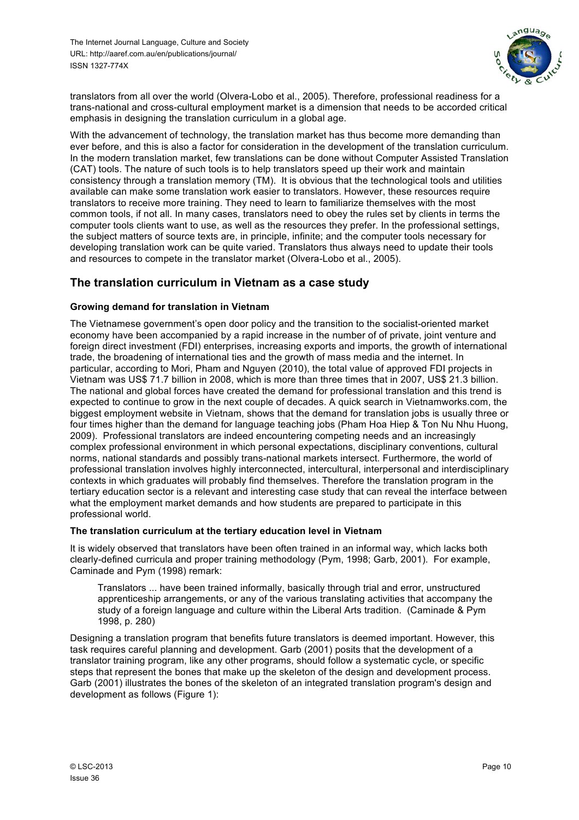

translators from all over the world (Olvera-Lobo et al., 2005). Therefore, professional readiness for a trans-national and cross-cultural employment market is a dimension that needs to be accorded critical emphasis in designing the translation curriculum in a global age.

With the advancement of technology, the translation market has thus become more demanding than ever before, and this is also a factor for consideration in the development of the translation curriculum. In the modern translation market, few translations can be done without Computer Assisted Translation (CAT) tools. The nature of such tools is to help translators speed up their work and maintain consistency through a translation memory (TM). It is obvious that the technological tools and utilities available can make some translation work easier to translators. However, these resources require translators to receive more training. They need to learn to familiarize themselves with the most common tools, if not all. In many cases, translators need to obey the rules set by clients in terms the computer tools clients want to use, as well as the resources they prefer. In the professional settings, the subject matters of source texts are, in principle, infinite; and the computer tools necessary for developing translation work can be quite varied. Translators thus always need to update their tools and resources to compete in the translator market (Olvera-Lobo et al., 2005).

## **The translation curriculum in Vietnam as a case study**

## **Growing demand for translation in Vietnam**

The Vietnamese government's open door policy and the transition to the socialist-oriented market economy have been accompanied by a rapid increase in the number of of private, joint venture and foreign direct investment (FDI) enterprises, increasing exports and imports, the growth of international trade, the broadening of international ties and the growth of mass media and the internet. In particular, according to Mori, Pham and Nguyen (2010), the total value of approved FDI projects in Vietnam was US\$ 71.7 billion in 2008, which is more than three times that in 2007, US\$ 21.3 billion. The national and global forces have created the demand for professional translation and this trend is expected to continue to grow in the next couple of decades. A quick search in Vietnamworks.com, the biggest employment website in Vietnam, shows that the demand for translation jobs is usually three or four times higher than the demand for language teaching jobs (Pham Hoa Hiep & Ton Nu Nhu Huong, 2009). Professional translators are indeed encountering competing needs and an increasingly complex professional environment in which personal expectations, disciplinary conventions, cultural norms, national standards and possibly trans-national markets intersect. Furthermore, the world of professional translation involves highly interconnected, intercultural, interpersonal and interdisciplinary contexts in which graduates will probably find themselves. Therefore the translation program in the tertiary education sector is a relevant and interesting case study that can reveal the interface between what the employment market demands and how students are prepared to participate in this professional world.

#### **The translation curriculum at the tertiary education level in Vietnam**

It is widely observed that translators have been often trained in an informal way, which lacks both clearly-defined curricula and proper training methodology (Pym, 1998; Garb, 2001). For example, Caminade and Pym (1998) remark:

Translators ... have been trained informally, basically through trial and error, unstructured apprenticeship arrangements, or any of the various translating activities that accompany the study of a foreign language and culture within the Liberal Arts tradition. (Caminade & Pym 1998, p. 280)

Designing a translation program that benefits future translators is deemed important. However, this task requires careful planning and development. Garb (2001) posits that the development of a translator training program, like any other programs, should follow a systematic cycle, or specific steps that represent the bones that make up the skeleton of the design and development process. Garb (2001) illustrates the bones of the skeleton of an integrated translation program's design and development as follows (Figure 1):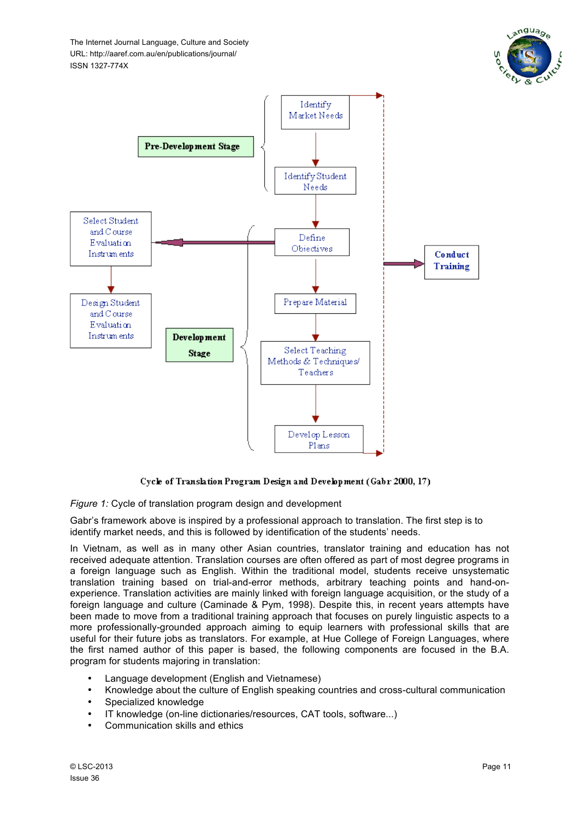



Cycle of Translation Program Design and Development (Gabr 2000, 17)

*Figure 1:* Cycle of translation program design and development

Gabr's framework above is inspired by a professional approach to translation. The first step is to identify market needs, and this is followed by identification of the students' needs.

In Vietnam, as well as in many other Asian countries, translator training and education has not received adequate attention. Translation courses are often offered as part of most degree programs in a foreign language such as English. Within the traditional model, students receive unsystematic translation training based on trial-and-error methods, arbitrary teaching points and hand-onexperience. Translation activities are mainly linked with foreign language acquisition, or the study of a foreign language and culture (Caminade & Pym, 1998). Despite this, in recent years attempts have been made to move from a traditional training approach that focuses on purely linguistic aspects to a more professionally-grounded approach aiming to equip learners with professional skills that are useful for their future jobs as translators. For example, at Hue College of Foreign Languages, where the first named author of this paper is based, the following components are focused in the B.A. program for students majoring in translation:

- Language development (English and Vietnamese)
- Knowledge about the culture of English speaking countries and cross-cultural communication
- Specialized knowledge
- IT knowledge (on-line dictionaries/resources, CAT tools, software...)
- Communication skills and ethics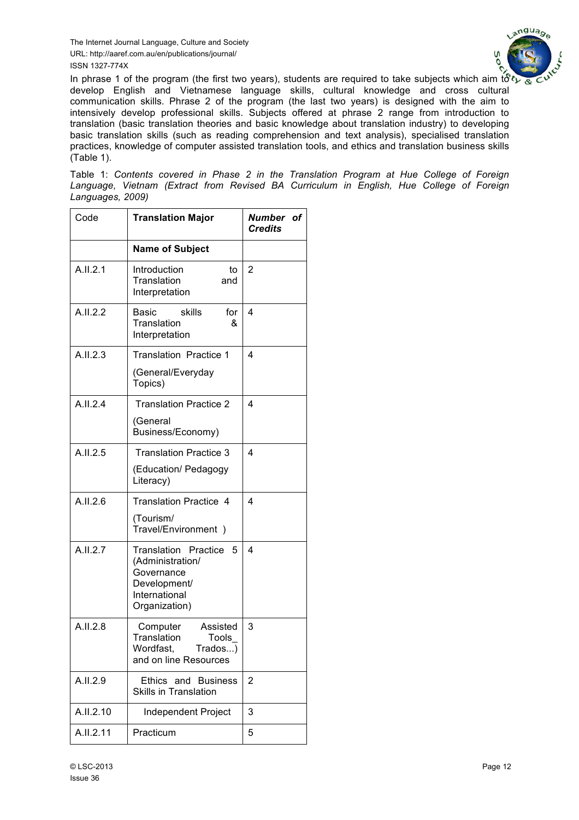

In phrase 1 of the program (the first two years), students are required to take subjects which aim to  $\mathfrak{F}$ . develop English and Vietnamese language skills, cultural knowledge and cross cultural communication skills. Phrase 2 of the program (the last two years) is designed with the aim to intensively develop professional skills. Subjects offered at phrase 2 range from introduction to translation (basic translation theories and basic knowledge about translation industry) to developing basic translation skills (such as reading comprehension and text analysis), specialised translation practices, knowledge of computer assisted translation tools, and ethics and translation business skills  $(Table 1)$ .

Table 1: *Contents covered in Phase 2 in the Translation Program at Hue College of Foreign Language, Vietnam (Extract from Revised BA Curriculum in English, Hue College of Foreign Languages, 2009)*

| Code      | <b>Translation Major</b>                                                                                             | Number of<br><b>Credits</b> |
|-----------|----------------------------------------------------------------------------------------------------------------------|-----------------------------|
|           | <b>Name of Subject</b>                                                                                               |                             |
| A.II.2.1  | Introduction<br>to<br>Translation<br>and<br>Interpretation                                                           | 2                           |
| A.I.I.2.2 | <b>Basic</b><br>skills<br>for<br>Translation<br>&<br>Interpretation                                                  | 4                           |
| A.II.2.3  | <b>Translation Practice 1</b>                                                                                        | 4                           |
|           | (General/Everyday<br>Topics)                                                                                         |                             |
| A.II.2.4  | <b>Translation Practice 2</b>                                                                                        | 4                           |
|           | (General<br>Business/Economy)                                                                                        |                             |
| A.I.I.2.5 | <b>Translation Practice 3</b>                                                                                        | 4                           |
|           | (Education/ Pedagogy<br>Literacy)                                                                                    |                             |
| A.II.2.6  | <b>Translation Practice 4</b>                                                                                        | 4                           |
|           | (Tourism/<br>Travel/Environment)                                                                                     |                             |
| A.II.2.7  | <b>Translation Practice</b><br>5<br>(Administration/<br>Governance<br>Development/<br>International<br>Organization) | 4                           |
| A.I.I.2.8 | Computer<br>Assisted<br>Translation<br>Tools<br>Wordfast,<br>Trados)<br>and on line Resources                        | 3                           |
| A.II.2.9  | Ethics and Business<br><b>Skills in Translation</b>                                                                  | $\overline{2}$              |
| A.II.2.10 | Independent Project                                                                                                  | 3                           |
| A.II.2.11 | Practicum                                                                                                            | 5                           |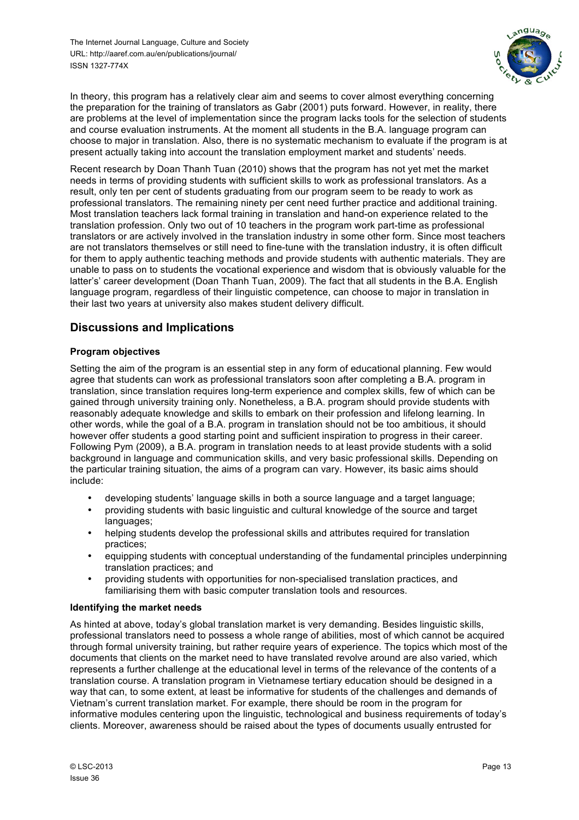

In theory, this program has a relatively clear aim and seems to cover almost everything concerning the preparation for the training of translators as Gabr (2001) puts forward. However, in reality, there are problems at the level of implementation since the program lacks tools for the selection of students and course evaluation instruments. At the moment all students in the B.A. language program can choose to major in translation. Also, there is no systematic mechanism to evaluate if the program is at present actually taking into account the translation employment market and students' needs.

Recent research by Doan Thanh Tuan (2010) shows that the program has not yet met the market needs in terms of providing students with sufficient skills to work as professional translators. As a result, only ten per cent of students graduating from our program seem to be ready to work as professional translators. The remaining ninety per cent need further practice and additional training. Most translation teachers lack formal training in translation and hand-on experience related to the translation profession. Only two out of 10 teachers in the program work part-time as professional translators or are actively involved in the translation industry in some other form. Since most teachers are not translators themselves or still need to fine-tune with the translation industry, it is often difficult for them to apply authentic teaching methods and provide students with authentic materials. They are unable to pass on to students the vocational experience and wisdom that is obviously valuable for the latter's' career development (Doan Thanh Tuan, 2009). The fact that all students in the B.A. English language program, regardless of their linguistic competence, can choose to major in translation in their last two years at university also makes student delivery difficult.

## **Discussions and Implications**

## **Program objectives**

Setting the aim of the program is an essential step in any form of educational planning. Few would agree that students can work as professional translators soon after completing a B.A. program in translation, since translation requires long-term experience and complex skills, few of which can be gained through university training only. Nonetheless, a B.A. program should provide students with reasonably adequate knowledge and skills to embark on their profession and lifelong learning. In other words, while the goal of a B.A. program in translation should not be too ambitious, it should however offer students a good starting point and sufficient inspiration to progress in their career. Following Pym (2009), a B.A. program in translation needs to at least provide students with a solid background in language and communication skills, and very basic professional skills. Depending on the particular training situation, the aims of a program can vary. However, its basic aims should include:

- developing students' language skills in both a source language and a target language;
- providing students with basic linguistic and cultural knowledge of the source and target languages;
- helping students develop the professional skills and attributes required for translation practices;
- equipping students with conceptual understanding of the fundamental principles underpinning translation practices; and
- providing students with opportunities for non-specialised translation practices, and familiarising them with basic computer translation tools and resources.

#### **Identifying the market needs**

As hinted at above, today's global translation market is very demanding. Besides linguistic skills, professional translators need to possess a whole range of abilities, most of which cannot be acquired through formal university training, but rather require years of experience. The topics which most of the documents that clients on the market need to have translated revolve around are also varied, which represents a further challenge at the educational level in terms of the relevance of the contents of a translation course. A translation program in Vietnamese tertiary education should be designed in a way that can, to some extent, at least be informative for students of the challenges and demands of Vietnam's current translation market. For example, there should be room in the program for informative modules centering upon the linguistic, technological and business requirements of today's clients. Moreover, awareness should be raised about the types of documents usually entrusted for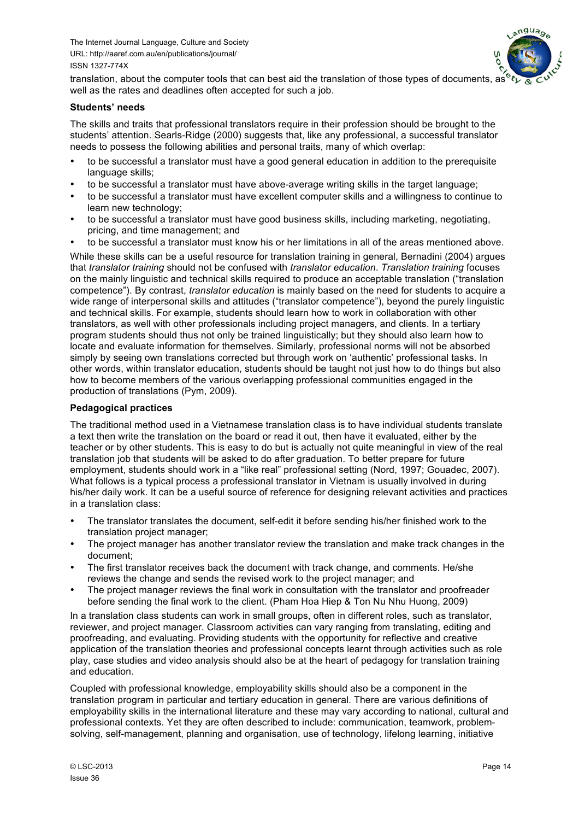

translation, about the computer tools that can best aid the translation of those types of documents, as well as the rates and deadlines often accepted for such a job.

#### **Students' needs**

The skills and traits that professional translators require in their profession should be brought to the students' attention. Searls-Ridge (2000) suggests that, like any professional, a successful translator needs to possess the following abilities and personal traits, many of which overlap:

- to be successful a translator must have a good general education in addition to the prerequisite language skills;
- to be successful a translator must have above-average writing skills in the target language;
- to be successful a translator must have excellent computer skills and a willingness to continue to learn new technology;
- to be successful a translator must have good business skills, including marketing, negotiating, pricing, and time management; and
- to be successful a translator must know his or her limitations in all of the areas mentioned above.

While these skills can be a useful resource for translation training in general, Bernadini (2004) argues that *translator training* should not be confused with *translator education*. *Translation training* focuses on the mainly linguistic and technical skills required to produce an acceptable translation ("translation competence"). By contrast, *translator education* is mainly based on the need for students to acquire a wide range of interpersonal skills and attitudes ("translator competence"), beyond the purely linguistic and technical skills. For example, students should learn how to work in collaboration with other translators, as well with other professionals including project managers, and clients. In a tertiary program students should thus not only be trained linguistically; but they should also learn how to locate and evaluate information for themselves. Similarly, professional norms will not be absorbed simply by seeing own translations corrected but through work on 'authentic' professional tasks. In other words, within translator education, students should be taught not just how to do things but also how to become members of the various overlapping professional communities engaged in the production of translations (Pym, 2009).

#### **Pedagogical practices**

The traditional method used in a Vietnamese translation class is to have individual students translate a text then write the translation on the board or read it out, then have it evaluated, either by the teacher or by other students. This is easy to do but is actually not quite meaningful in view of the real translation job that students will be asked to do after graduation. To better prepare for future employment, students should work in a "like real" professional setting (Nord, 1997; Gouadec, 2007). What follows is a typical process a professional translator in Vietnam is usually involved in during his/her daily work. It can be a useful source of reference for designing relevant activities and practices in a translation class:

- The translator translates the document, self-edit it before sending his/her finished work to the translation project manager;
- The project manager has another translator review the translation and make track changes in the document;
- The first translator receives back the document with track change, and comments. He/she reviews the change and sends the revised work to the project manager; and
- The project manager reviews the final work in consultation with the translator and proofreader before sending the final work to the client. (Pham Hoa Hiep & Ton Nu Nhu Huong, 2009)

In a translation class students can work in small groups, often in different roles, such as translator, reviewer, and project manager. Classroom activities can vary ranging from translating, editing and proofreading, and evaluating. Providing students with the opportunity for reflective and creative application of the translation theories and professional concepts learnt through activities such as role play, case studies and video analysis should also be at the heart of pedagogy for translation training and education.

Coupled with professional knowledge, employability skills should also be a component in the translation program in particular and tertiary education in general. There are various definitions of employability skills in the international literature and these may vary according to national, cultural and professional contexts. Yet they are often described to include: communication, teamwork, problemsolving, self-management, planning and organisation, use of technology, lifelong learning, initiative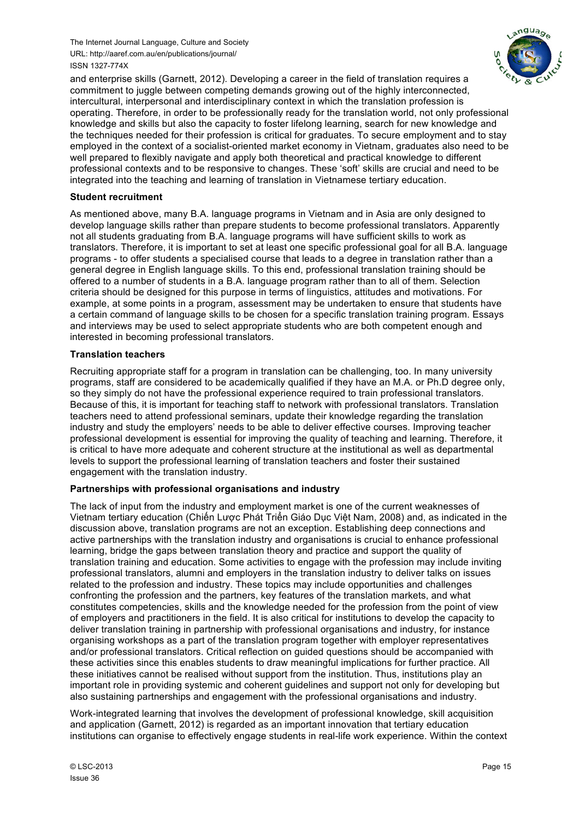

and enterprise skills (Garnett, 2012). Developing a career in the field of translation requires a commitment to juggle between competing demands growing out of the highly interconnected, intercultural, interpersonal and interdisciplinary context in which the translation profession is operating. Therefore, in order to be professionally ready for the translation world, not only professional knowledge and skills but also the capacity to foster lifelong learning, search for new knowledge and the techniques needed for their profession is critical for graduates. To secure employment and to stay employed in the context of a socialist-oriented market economy in Vietnam, graduates also need to be well prepared to flexibly navigate and apply both theoretical and practical knowledge to different professional contexts and to be responsive to changes. These 'soft' skills are crucial and need to be integrated into the teaching and learning of translation in Vietnamese tertiary education.

#### **Student recruitment**

As mentioned above, many B.A. language programs in Vietnam and in Asia are only designed to develop language skills rather than prepare students to become professional translators. Apparently not all students graduating from B.A. language programs will have sufficient skills to work as translators. Therefore, it is important to set at least one specific professional goal for all B.A. language programs - to offer students a specialised course that leads to a degree in translation rather than a general degree in English language skills. To this end, professional translation training should be offered to a number of students in a B.A. language program rather than to all of them. Selection criteria should be designed for this purpose in terms of linguistics, attitudes and motivations. For example, at some points in a program, assessment may be undertaken to ensure that students have a certain command of language skills to be chosen for a specific translation training program. Essays and interviews may be used to select appropriate students who are both competent enough and interested in becoming professional translators.

#### **Translation teachers**

Recruiting appropriate staff for a program in translation can be challenging, too. In many university programs, staff are considered to be academically qualified if they have an M.A. or Ph.D degree only, so they simply do not have the professional experience required to train professional translators. Because of this, it is important for teaching staff to network with professional translators. Translation teachers need to attend professional seminars, update their knowledge regarding the translation industry and study the employers' needs to be able to deliver effective courses. Improving teacher professional development is essential for improving the quality of teaching and learning. Therefore, it is critical to have more adequate and coherent structure at the institutional as well as departmental levels to support the professional learning of translation teachers and foster their sustained engagement with the translation industry.

#### **Partnerships with professional organisations and industry**

The lack of input from the industry and employment market is one of the current weaknesses of Vietnam tertiary education (Chiến Lược Phát Triển Giáo Dục Việt Nam, 2008) and, as indicated in the discussion above, translation programs are not an exception. Establishing deep connections and active partnerships with the translation industry and organisations is crucial to enhance professional learning, bridge the gaps between translation theory and practice and support the quality of translation training and education. Some activities to engage with the profession may include inviting professional translators, alumni and employers in the translation industry to deliver talks on issues related to the profession and industry. These topics may include opportunities and challenges confronting the profession and the partners, key features of the translation markets, and what constitutes competencies, skills and the knowledge needed for the profession from the point of view of employers and practitioners in the field. It is also critical for institutions to develop the capacity to deliver translation training in partnership with professional organisations and industry, for instance organising workshops as a part of the translation program together with employer representatives and/or professional translators. Critical reflection on guided questions should be accompanied with these activities since this enables students to draw meaningful implications for further practice. All these initiatives cannot be realised without support from the institution. Thus, institutions play an important role in providing systemic and coherent guidelines and support not only for developing but also sustaining partnerships and engagement with the professional organisations and industry.

Work-integrated learning that involves the development of professional knowledge, skill acquisition and application (Garnett, 2012) is regarded as an important innovation that tertiary education institutions can organise to effectively engage students in real-life work experience. Within the context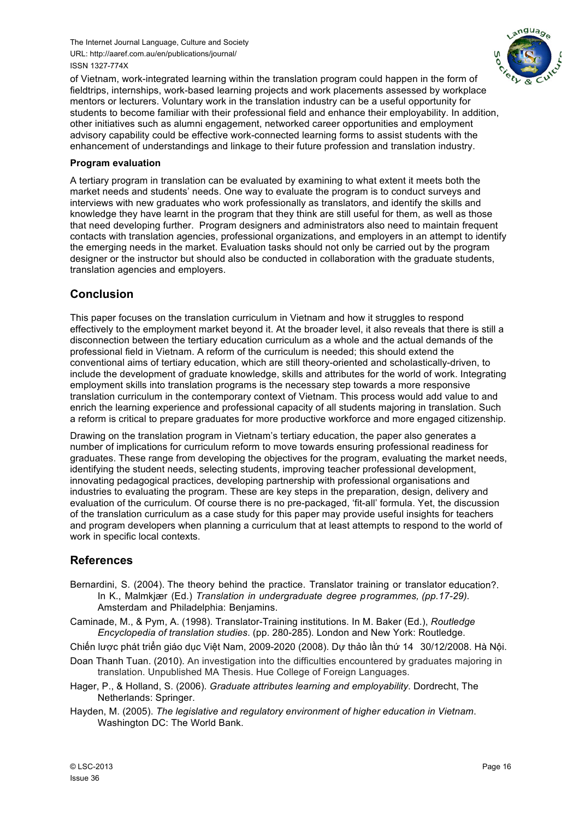

of Vietnam, work-integrated learning within the translation program could happen in the form of fieldtrips, internships, work-based learning projects and work placements assessed by workplace mentors or lecturers. Voluntary work in the translation industry can be a useful opportunity for students to become familiar with their professional field and enhance their employability. In addition, other initiatives such as alumni engagement, networked career opportunities and employment advisory capability could be effective work-connected learning forms to assist students with the enhancement of understandings and linkage to their future profession and translation industry.

#### **Program evaluation**

A tertiary program in translation can be evaluated by examining to what extent it meets both the market needs and students' needs. One way to evaluate the program is to conduct surveys and interviews with new graduates who work professionally as translators, and identify the skills and knowledge they have learnt in the program that they think are still useful for them, as well as those that need developing further. Program designers and administrators also need to maintain frequent contacts with translation agencies, professional organizations, and employers in an attempt to identify the emerging needs in the market. Evaluation tasks should not only be carried out by the program designer or the instructor but should also be conducted in collaboration with the graduate students, translation agencies and employers.

## **Conclusion**

This paper focuses on the translation curriculum in Vietnam and how it struggles to respond effectively to the employment market beyond it. At the broader level, it also reveals that there is still a disconnection between the tertiary education curriculum as a whole and the actual demands of the professional field in Vietnam. A reform of the curriculum is needed; this should extend the conventional aims of tertiary education, which are still theory-oriented and scholastically-driven, to include the development of graduate knowledge, skills and attributes for the world of work. Integrating employment skills into translation programs is the necessary step towards a more responsive translation curriculum in the contemporary context of Vietnam. This process would add value to and enrich the learning experience and professional capacity of all students majoring in translation. Such a reform is critical to prepare graduates for more productive workforce and more engaged citizenship.

Drawing on the translation program in Vietnam's tertiary education, the paper also generates a number of implications for curriculum reform to move towards ensuring professional readiness for graduates. These range from developing the objectives for the program, evaluating the market needs, identifying the student needs, selecting students, improving teacher professional development, innovating pedagogical practices, developing partnership with professional organisations and industries to evaluating the program. These are key steps in the preparation, design, delivery and evaluation of the curriculum. Of course there is no pre-packaged, 'fit-all' formula. Yet, the discussion of the translation curriculum as a case study for this paper may provide useful insights for teachers and program developers when planning a curriculum that at least attempts to respond to the world of work in specific local contexts.

## **References**

- Bernardini, S. (2004). The theory behind the practice. Translator training or translator education?. In K., Malmkjær (Ed.) *Translation in undergraduate degree programmes, (pp.17-29).*  Amsterdam and Philadelphia: Benjamins.
- Caminade, M., & Pym, A. (1998). Translator-Training institutions. In M. Baker (Ed.), *Routledge Encyclopedia of translation studies*. (pp. 280-285). London and New York: Routledge.
- Chiến lược phát triển giáo dục Việt Nam, 2009-2020 (2008). Dự thảo lần thứ 14 30/12/2008. Hà Nội.
- Doan Thanh Tuan. (2010). An investigation into the difficulties encountered by graduates majoring in translation. Unpublished MA Thesis. Hue College of Foreign Languages.
- Hager, P., & Holland, S. (2006). *Graduate attributes learning and employability*. Dordrecht, The Netherlands: Springer.
- Hayden, M. (2005). *The legislative and regulatory environment of higher education in Vietnam*. Washington DC: The World Bank.